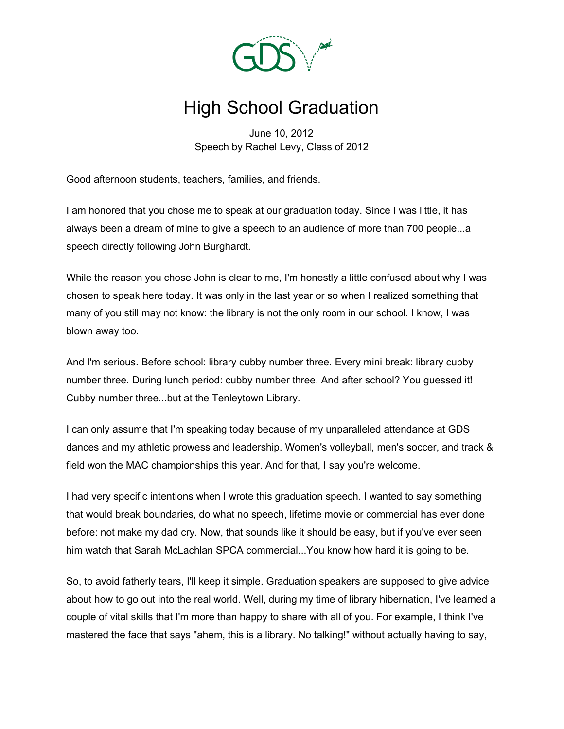

## High School Graduation

June 10, 2012 Speech by Rachel Levy, Class of 2012

Good afternoon students, teachers, families, and friends.

I am honored that you chose me to speak at our graduation today. Since I was little, it has always been a dream of mine to give a speech to an audience of more than 700 people...a speech directly following John Burghardt.

While the reason you chose John is clear to me, I'm honestly a little confused about why I was chosen to speak here today. It was only in the last year or so when I realized something that many of you still may not know: the library is not the only room in our school. I know, I was blown away too.

And I'm serious. Before school: library cubby number three. Every mini break: library cubby number three. During lunch period: cubby number three. And after school? You guessed it! Cubby number three...but at the Tenleytown Library.

I can only assume that I'm speaking today because of my unparalleled attendance at GDS dances and my athletic prowess and leadership. Women's volleyball, men's soccer, and track & field won the MAC championships this year. And for that, I say you're welcome.

I had very specific intentions when I wrote this graduation speech. I wanted to say something that would break boundaries, do what no speech, lifetime movie or commercial has ever done before: not make my dad cry. Now, that sounds like it should be easy, but if you've ever seen him watch that Sarah McLachlan SPCA commercial...You know how hard it is going to be.

So, to avoid fatherly tears, I'll keep it simple. Graduation speakers are supposed to give advice about how to go out into the real world. Well, during my time of library hibernation, I've learned a couple of vital skills that I'm more than happy to share with all of you. For example, I think I've mastered the face that says "ahem, this is a library. No talking!" without actually having to say,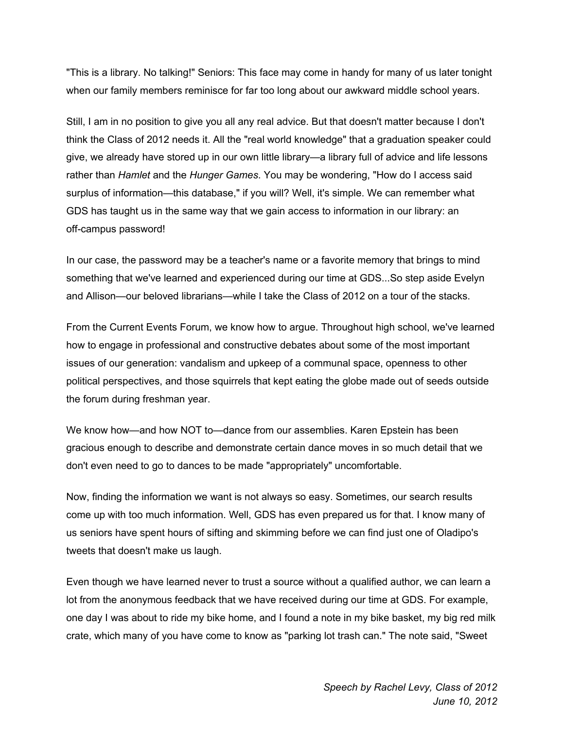"This is a library. No talking!" Seniors: This face may come in handy for many of us later tonight when our family members reminisce for far too long about our awkward middle school years.

Still, I am in no position to give you all any real advice. But that doesn't matter because I don't think the Class of 2012 needs it. All the "real world knowledge" that a graduation speaker could give, we already have stored up in our own little library—a library full of advice and life lessons rather than *Hamlet* and the *Hunger Games*. You may be wondering, "How do I access said surplus of information—this database," if you will? Well, it's simple. We can remember what GDS has taught us in the same way that we gain access to information in our library: an off-campus password!

In our case, the password may be a teacher's name or a favorite memory that brings to mind something that we've learned and experienced during our time at GDS...So step aside Evelyn and Allison—our beloved librarians—while I take the Class of 2012 on a tour of the stacks.

From the Current Events Forum, we know how to argue. Throughout high school, we've learned how to engage in professional and constructive debates about some of the most important issues of our generation: vandalism and upkeep of a communal space, openness to other political perspectives, and those squirrels that kept eating the globe made out of seeds outside the forum during freshman year.

We know how—and how NOT to—dance from our assemblies. Karen Epstein has been gracious enough to describe and demonstrate certain dance moves in so much detail that we don't even need to go to dances to be made "appropriately" uncomfortable.

Now, finding the information we want is not always so easy. Sometimes, our search results come up with too much information. Well, GDS has even prepared us for that. I know many of us seniors have spent hours of sifting and skimming before we can find just one of Oladipo's tweets that doesn't make us laugh.

Even though we have learned never to trust a source without a qualified author, we can learn a lot from the anonymous feedback that we have received during our time at GDS. For example, one day I was about to ride my bike home, and I found a note in my bike basket, my big red milk crate, which many of you have come to know as "parking lot trash can." The note said, "Sweet